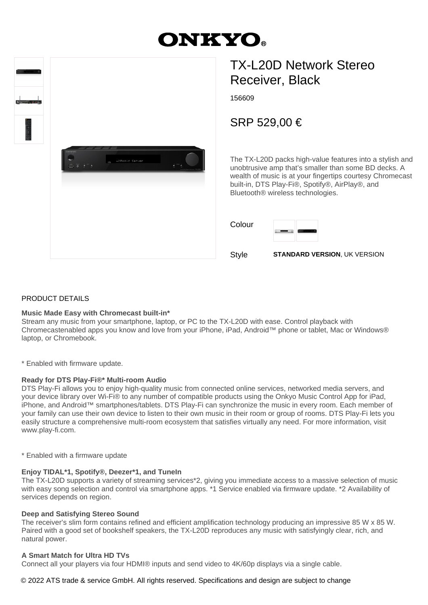# **DNKYO.**

| $\blacksquare$<br>$\sim$ $\sim$ $\sim$ |                          |                       |  |
|----------------------------------------|--------------------------|-----------------------|--|
| <b>THE PERSONAL PROPERTY</b>           | ONKYO<br>$\equiv$ 5<br>÷ | EDMusic Server<br>$-$ |  |
|                                        |                          |                       |  |
|                                        |                          |                       |  |

# TX-L20D Network Stereo Receiver, Black

156609

## SRP 529,00 €

The TX-L20D packs high-value features into a stylish and unobtrusive amp that's smaller than some BD decks. A wealth of music is at your fingertips courtesy Chromecast built-in, DTS Play-Fi®, Spotify®, AirPlay®, and Bluetooth® wireless technologies.

Colour



Style **STANDARD VERSION**, UK VERSION

#### PRODUCT DETAILS

#### **Music Made Easy with Chromecast built-in\***

Stream any music from your smartphone, laptop, or PC to the TX-L20D with ease. Control playback with Chromecastenabled apps you know and love from your iPhone, iPad, Android™ phone or tablet, Mac or Windows® laptop, or Chromebook.

\* Enabled with firmware update.

#### **Ready for DTS Play-Fi®\* Multi-room Audio**

DTS Play-Fi allows you to enjoy high-quality music from connected online services, networked media servers, and your device library over Wi-Fi® to any number of compatible products using the Onkyo Music Control App for iPad, iPhone, and Android™ smartphones/tablets. DTS Play-Fi can synchronize the music in every room. Each member of your family can use their own device to listen to their own music in their room or group of rooms. DTS Play-Fi lets you easily structure a comprehensive multi-room ecosystem that satisfies virtually any need. For more information, visit www.play-fi.com.

\* Enabled with a firmware update

#### **Enjoy TIDAL\*1, Spotify®, Deezer\*1, and TuneIn**

The TX-L20D supports a variety of streaming services\*2, giving you immediate access to a massive selection of music with easy song selection and control via smartphone apps. \*1 Service enabled via firmware update. \*2 Availability of services depends on region.

#### **Deep and Satisfying Stereo Sound**

The receiver's slim form contains refined and efficient amplification technology producing an impressive 85 W x 85 W. Paired with a good set of bookshelf speakers, the TX-L20D reproduces any music with satisfyingly clear, rich, and natural power.

#### **A Smart Match for Ultra HD TVs**

Connect all your players via four HDMI® inputs and send video to 4K/60p displays via a single cable.

#### © 2022 ATS trade & service GmbH. All rights reserved. Specifications and design are subject to change